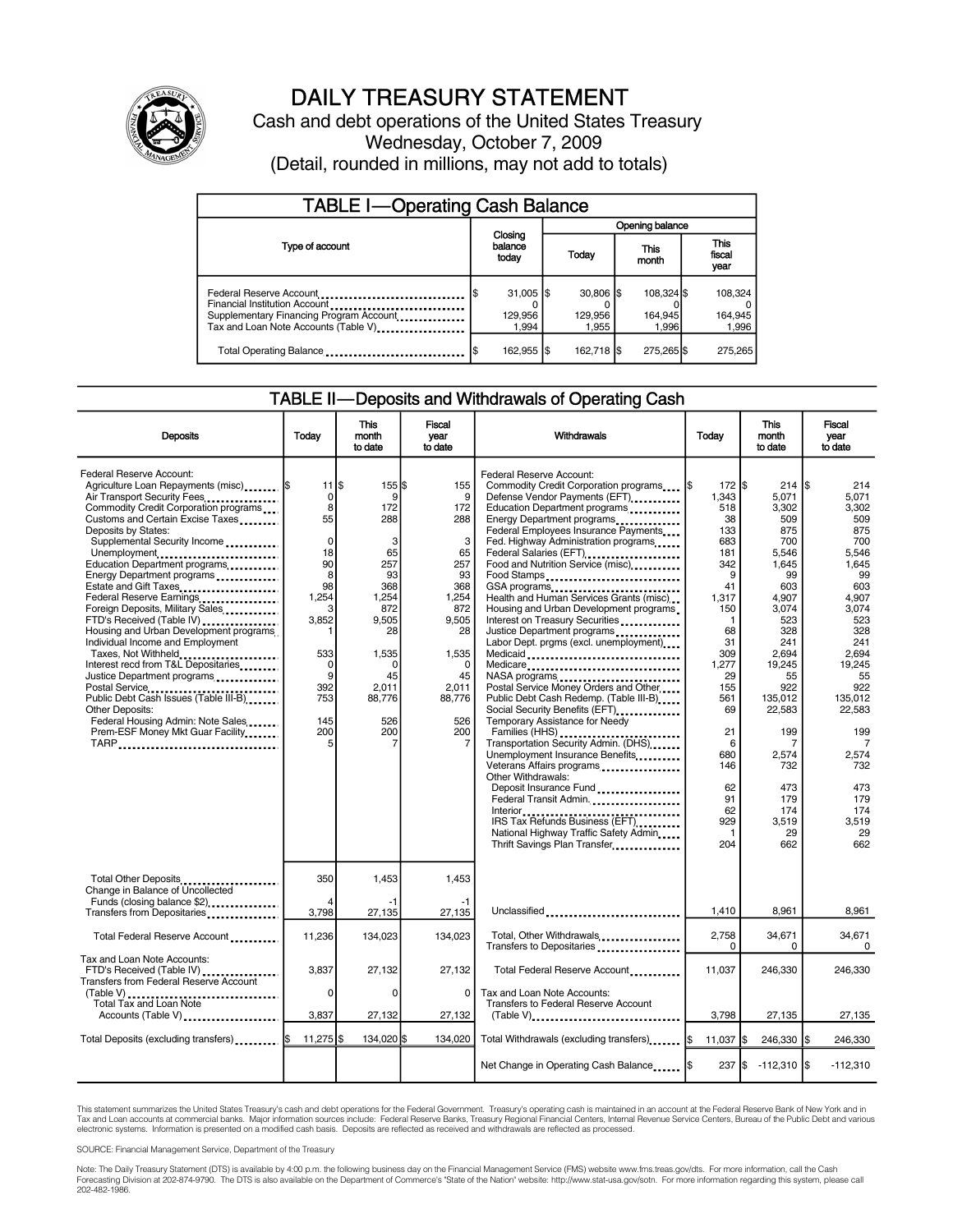

# DAILY TREASURY STATEMENT

Cash and debt operations of the United States Treasury Wednesday, October 7, 2009 (Detail, rounded in millions, may not add to totals)

| <b>TABLE I-Operating Cash Balance</b>                                                                                                                                     |                                            |                                |                                |                               |  |  |  |
|---------------------------------------------------------------------------------------------------------------------------------------------------------------------------|--------------------------------------------|--------------------------------|--------------------------------|-------------------------------|--|--|--|
|                                                                                                                                                                           |                                            | Opening balance                |                                |                               |  |  |  |
| Type of account                                                                                                                                                           | Closing<br>balance<br>today                | This<br>Today<br>month         |                                | <b>This</b><br>fiscal<br>year |  |  |  |
| Federal Reserve Account<br>Financial Institution Account<br>Supplementary Financing Program Account<br>Tax and Loan Note Accounts (Table V) <sub>------------------</sub> | $31,005$ $\frac{1}{3}$<br>129,956<br>1.994 | $30.806$ S<br>129.956<br>1.955 | 108.324 \$<br>164,945<br>1.996 | 108,324<br>164,945<br>1,996   |  |  |  |
| Total Operating Balance                                                                                                                                                   | 162,955 \$                                 | 162,718 \$                     | 275,265 \$                     | 275,265                       |  |  |  |

### TABLE II—Deposits and Withdrawals of Operating Cash

| <b>Deposits</b>                                                                                                                                                                                                                                                                                                                                                                                                                                                                                                                                                                                                                                                                                                                                                                             | Todav                                                                                                                                                    | <b>This</b><br>month<br>to date                                                                                                                   | <b>Fiscal</b><br>vear<br>to date                                                                                                                 | Withdrawals                                                                                                                                                                                                                                                                                                                                                                                                                                                                                                                                                                                                                                                                                                                                                                                                                                                                                                                                                                                                                                    | Today                                                                                                                                                                                                                    | <b>This</b><br>month<br>to date                                                                                                                                                                                                              | <b>Fiscal</b><br>vear<br>to date                                                                                                                                                                                                                          |
|---------------------------------------------------------------------------------------------------------------------------------------------------------------------------------------------------------------------------------------------------------------------------------------------------------------------------------------------------------------------------------------------------------------------------------------------------------------------------------------------------------------------------------------------------------------------------------------------------------------------------------------------------------------------------------------------------------------------------------------------------------------------------------------------|----------------------------------------------------------------------------------------------------------------------------------------------------------|---------------------------------------------------------------------------------------------------------------------------------------------------|--------------------------------------------------------------------------------------------------------------------------------------------------|------------------------------------------------------------------------------------------------------------------------------------------------------------------------------------------------------------------------------------------------------------------------------------------------------------------------------------------------------------------------------------------------------------------------------------------------------------------------------------------------------------------------------------------------------------------------------------------------------------------------------------------------------------------------------------------------------------------------------------------------------------------------------------------------------------------------------------------------------------------------------------------------------------------------------------------------------------------------------------------------------------------------------------------------|--------------------------------------------------------------------------------------------------------------------------------------------------------------------------------------------------------------------------|----------------------------------------------------------------------------------------------------------------------------------------------------------------------------------------------------------------------------------------------|-----------------------------------------------------------------------------------------------------------------------------------------------------------------------------------------------------------------------------------------------------------|
| Federal Reserve Account:<br>Agriculture Loan Repayments (misc)  \$<br>Air Transport Security Fees<br>Commodity Credit Corporation programs<br>Customs and Certain Excise Taxes<br>Deposits by States:<br>Supplemental Security Income<br>Unemployment<br>Education Department programs<br>Energy Department programs<br>Estate and Gift Taxes<br>Federal Reserve Earnings<br>Foreign Deposits, Military Sales<br>FTD's Received (Table IV)<br>Housing and Urban Development programs<br>Individual Income and Employment<br>Taxes, Not Withheld<br>Interest recd from T&L Depositaries<br>Justice Department programs<br>Postal Service<br>Public Debt Cash Issues (Table III-B)<br><b>Other Deposits:</b><br>Federal Housing Admin: Note Sales<br>Prem-ESF Money Mkt Guar Facility<br>TARP | $11$ $\sqrt{3}$<br>0<br>8<br>55<br>$\mathbf 0$<br>18<br>90<br>8<br>98<br>1,254<br>3<br>3,852<br>533<br>$\mathbf 0$<br>9<br>392<br>753<br>145<br>200<br>5 | 155S<br>9<br>172<br>288<br>3<br>65<br>257<br>93<br>368<br>1,254<br>872<br>9,505<br>28<br>1,535<br>$\Omega$<br>45<br>2,011<br>88,776<br>526<br>200 | 155<br>9<br>172<br>288<br>3<br>65<br>257<br>93<br>368<br>1,254<br>872<br>9,505<br>28<br>1,535<br>$\Omega$<br>45<br>2,011<br>88,776<br>526<br>200 | Federal Reserve Account:<br>Commodity Credit Corporation programs<br>Defense Vendor Payments (EFT)<br>Education Department programs<br>Energy Department programs<br>Federal Employees Insurance Payments<br>Fed. Highway Administration programs<br>Federal Salaries (EFT)<br>Food and Nutrition Service (misc)<br>Food Stamps<br>GSA programs<br>Health and Human Services Grants (misc)<br>Housing and Urban Development programs<br>Interest on Treasury Securities<br>Justice Department programs<br>Labor Dept. prgms (excl. unemployment)<br>Medicaid<br>Medicare<br>Postal Service Money Orders and Other<br>Public Debt Cash Redemp. (Table III-B)<br>Social Security Benefits (EFT)<br>Temporary Assistance for Needy<br>Families (HHS)<br>Transportation Security Admin. (DHS)<br>Unemployment Insurance Benefits<br>Veterans Affairs programs<br>Other Withdrawals:<br>Deposit Insurance Fund<br>Federal Transit Admin.<br>IRS Tax Refunds Business (EFT)<br>National Highway Traffic Safety Admin<br>Thrift Savings Plan Transfer | $172$ S<br>1,343<br>518<br>38<br>133<br>683<br>181<br>342<br>9<br>41<br>1,317<br>150<br>$\mathbf{1}$<br>68<br>31<br>309<br>1,277<br>29<br>155<br>561<br>69<br>21<br>6<br>680<br>146<br>62<br>91<br>62<br>929<br>1<br>204 | 214<br>5,071<br>3,302<br>509<br>875<br>700<br>5,546<br>1,645<br>99<br>603<br>4,907<br>3,074<br>523<br>328<br>241<br>2,694<br>19,245<br>55<br>922<br>135,012<br>22,583<br>199<br>7<br>2,574<br>732<br>473<br>179<br>174<br>3,519<br>29<br>662 | 214<br>5,071<br>3,302<br>509<br>875<br>700<br>5.546<br>1.645<br>99<br>603<br>4,907<br>3,074<br>523<br>328<br>241<br>2,694<br>19,245<br>55<br>922<br>135.012<br>22,583<br>199<br>$\overline{7}$<br>2,574<br>732<br>473<br>179<br>174<br>3,519<br>29<br>662 |
| Total Other Deposits<br>Change in Balance of Uncollected<br>Funds (closing balance \$2)                                                                                                                                                                                                                                                                                                                                                                                                                                                                                                                                                                                                                                                                                                     | 350                                                                                                                                                      | 1,453<br>-1                                                                                                                                       | 1,453<br>$-1$                                                                                                                                    |                                                                                                                                                                                                                                                                                                                                                                                                                                                                                                                                                                                                                                                                                                                                                                                                                                                                                                                                                                                                                                                |                                                                                                                                                                                                                          |                                                                                                                                                                                                                                              |                                                                                                                                                                                                                                                           |
| Transfers from Depositaries                                                                                                                                                                                                                                                                                                                                                                                                                                                                                                                                                                                                                                                                                                                                                                 | 3,798                                                                                                                                                    | 27,135                                                                                                                                            | 27,135                                                                                                                                           | Unclassified                                                                                                                                                                                                                                                                                                                                                                                                                                                                                                                                                                                                                                                                                                                                                                                                                                                                                                                                                                                                                                   | 1,410                                                                                                                                                                                                                    | 8,961                                                                                                                                                                                                                                        | 8,961                                                                                                                                                                                                                                                     |
| Total Federal Reserve Account                                                                                                                                                                                                                                                                                                                                                                                                                                                                                                                                                                                                                                                                                                                                                               | 11,236                                                                                                                                                   | 134,023                                                                                                                                           | 134.023                                                                                                                                          | Total, Other Withdrawals<br>Transfers to Depositaries                                                                                                                                                                                                                                                                                                                                                                                                                                                                                                                                                                                                                                                                                                                                                                                                                                                                                                                                                                                          | 2,758<br>$\Omega$                                                                                                                                                                                                        | 34,671<br>$\Omega$                                                                                                                                                                                                                           | 34.671<br>$\Omega$                                                                                                                                                                                                                                        |
| Tax and Loan Note Accounts:<br>FTD's Received (Table IV)<br><b>Transfers from Federal Reserve Account</b>                                                                                                                                                                                                                                                                                                                                                                                                                                                                                                                                                                                                                                                                                   | 3,837<br>0                                                                                                                                               | 27,132<br>$\Omega$                                                                                                                                | 27.132<br>$\Omega$                                                                                                                               | Total Federal Reserve Account<br>Tax and Loan Note Accounts:                                                                                                                                                                                                                                                                                                                                                                                                                                                                                                                                                                                                                                                                                                                                                                                                                                                                                                                                                                                   | 11,037                                                                                                                                                                                                                   | 246.330                                                                                                                                                                                                                                      | 246.330                                                                                                                                                                                                                                                   |
| Total Tax and Loan Note<br>Accounts (Table V)                                                                                                                                                                                                                                                                                                                                                                                                                                                                                                                                                                                                                                                                                                                                               | 3,837                                                                                                                                                    | 27,132                                                                                                                                            | 27,132                                                                                                                                           | <b>Transfers to Federal Reserve Account</b><br>(Table V)                                                                                                                                                                                                                                                                                                                                                                                                                                                                                                                                                                                                                                                                                                                                                                                                                                                                                                                                                                                       | 3,798                                                                                                                                                                                                                    | 27,135                                                                                                                                                                                                                                       | 27,135                                                                                                                                                                                                                                                    |
|                                                                                                                                                                                                                                                                                                                                                                                                                                                                                                                                                                                                                                                                                                                                                                                             |                                                                                                                                                          |                                                                                                                                                   |                                                                                                                                                  |                                                                                                                                                                                                                                                                                                                                                                                                                                                                                                                                                                                                                                                                                                                                                                                                                                                                                                                                                                                                                                                |                                                                                                                                                                                                                          |                                                                                                                                                                                                                                              |                                                                                                                                                                                                                                                           |
| Total Deposits (excluding transfers)  [\$                                                                                                                                                                                                                                                                                                                                                                                                                                                                                                                                                                                                                                                                                                                                                   | 11,275 \$                                                                                                                                                | 134.020 \$                                                                                                                                        | 134.020                                                                                                                                          | Total Withdrawals (excluding transfers) I\$                                                                                                                                                                                                                                                                                                                                                                                                                                                                                                                                                                                                                                                                                                                                                                                                                                                                                                                                                                                                    | 11,037 \$                                                                                                                                                                                                                | 246,330 \$                                                                                                                                                                                                                                   | 246,330                                                                                                                                                                                                                                                   |
|                                                                                                                                                                                                                                                                                                                                                                                                                                                                                                                                                                                                                                                                                                                                                                                             |                                                                                                                                                          |                                                                                                                                                   |                                                                                                                                                  | Net Change in Operating Cash Balance   \$                                                                                                                                                                                                                                                                                                                                                                                                                                                                                                                                                                                                                                                                                                                                                                                                                                                                                                                                                                                                      |                                                                                                                                                                                                                          | 237 \$ -112,310 \$                                                                                                                                                                                                                           | $-112,310$                                                                                                                                                                                                                                                |

This statement summarizes the United States Treasury's cash and debt operations for the Federal Government. Treasury's operating cash is maintained in an account at the Federal Reserve Bank of New York and in Tax and Loan accounts at commercial banks. Major information sources include: Federal Reserve Banks, Treasury Regional Financial Centers, Internal Revenue Service Centers, Bureau of the Public Debt and various<br>electronic s

SOURCE: Financial Management Service, Department of the Treasury

Note: The Daily Treasury Statement (DTS) is available by 4:00 p.m. the following business day on the Financial Management Service (FMS) website www.fms.treas.gov/dts. For more information, call the Cash<br>Forecasting Divisio 202-482-1986.